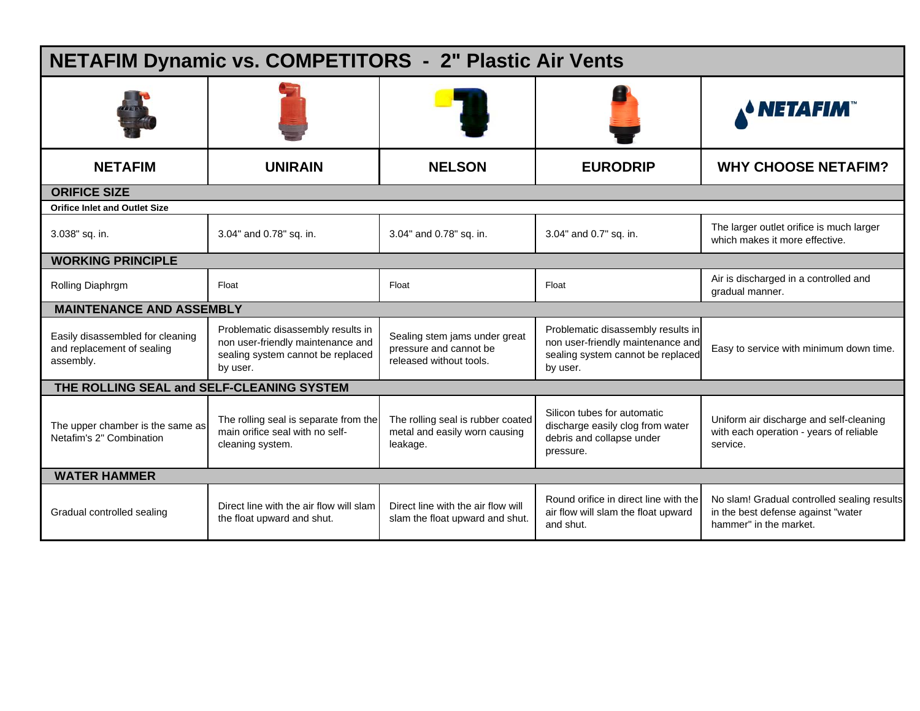| <b>NETAFIM Dynamic vs. COMPETITORS - 2" Plastic Air Vents</b>               |                                                                                                                          |                                                                                                                                                                                                                |                                                                                                           |                                                                                                             |  |  |  |  |  |
|-----------------------------------------------------------------------------|--------------------------------------------------------------------------------------------------------------------------|----------------------------------------------------------------------------------------------------------------------------------------------------------------------------------------------------------------|-----------------------------------------------------------------------------------------------------------|-------------------------------------------------------------------------------------------------------------|--|--|--|--|--|
|                                                                             |                                                                                                                          |                                                                                                                                                                                                                |                                                                                                           | <b>ANETAFIM</b>                                                                                             |  |  |  |  |  |
| <b>NETAFIM</b>                                                              | <b>UNIRAIN</b>                                                                                                           | <b>NELSON</b>                                                                                                                                                                                                  | <b>EURODRIP</b>                                                                                           | <b>WHY CHOOSE NETAFIM?</b>                                                                                  |  |  |  |  |  |
| <b>ORIFICE SIZE</b>                                                         |                                                                                                                          |                                                                                                                                                                                                                |                                                                                                           |                                                                                                             |  |  |  |  |  |
| <b>Orifice Inlet and Outlet Size</b>                                        |                                                                                                                          |                                                                                                                                                                                                                |                                                                                                           |                                                                                                             |  |  |  |  |  |
| 3.038" sq. in.                                                              | 3.04" and 0.78" sq. in.                                                                                                  | 3.04" and 0.78" sq. in.                                                                                                                                                                                        | 3.04" and 0.7" sq. in.                                                                                    | The larger outlet orifice is much larger<br>which makes it more effective.                                  |  |  |  |  |  |
| <b>WORKING PRINCIPLE</b>                                                    |                                                                                                                          |                                                                                                                                                                                                                |                                                                                                           |                                                                                                             |  |  |  |  |  |
| Rolling Diaphrgm                                                            | Float                                                                                                                    | Float                                                                                                                                                                                                          | Float                                                                                                     | Air is discharged in a controlled and<br>gradual manner.                                                    |  |  |  |  |  |
| <b>MAINTENANCE AND ASSEMBLY</b>                                             |                                                                                                                          |                                                                                                                                                                                                                |                                                                                                           |                                                                                                             |  |  |  |  |  |
| Easily disassembled for cleaning<br>and replacement of sealing<br>assembly. | Problematic disassembly results in<br>non user-friendly maintenance and<br>sealing system cannot be replaced<br>by user. | Problematic disassembly results in<br>Sealing stem jams under great<br>non user-friendly maintenance and<br>pressure and cannot be<br>sealing system cannot be replaced<br>released without tools.<br>by user. |                                                                                                           | Easy to service with minimum down time.                                                                     |  |  |  |  |  |
| THE ROLLING SEAL and SELF-CLEANING SYSTEM                                   |                                                                                                                          |                                                                                                                                                                                                                |                                                                                                           |                                                                                                             |  |  |  |  |  |
| The upper chamber is the same as<br>Netafim's 2" Combination                | The rolling seal is separate from the<br>main orifice seal with no self-<br>cleaning system.                             | The rolling seal is rubber coated<br>metal and easily worn causing<br>leakage.                                                                                                                                 | Silicon tubes for automatic<br>discharge easily clog from water<br>debris and collapse under<br>pressure. | Uniform air discharge and self-cleaning<br>with each operation - years of reliable<br>service.              |  |  |  |  |  |
| <b>WATER HAMMER</b>                                                         |                                                                                                                          |                                                                                                                                                                                                                |                                                                                                           |                                                                                                             |  |  |  |  |  |
| Gradual controlled sealing                                                  | Direct line with the air flow will slam<br>the float upward and shut.                                                    | Direct line with the air flow will<br>slam the float upward and shut.                                                                                                                                          | Round orifice in direct line with the<br>air flow will slam the float upward<br>and shut.                 | No slam! Gradual controlled sealing results<br>in the best defense against "water<br>hammer" in the market. |  |  |  |  |  |